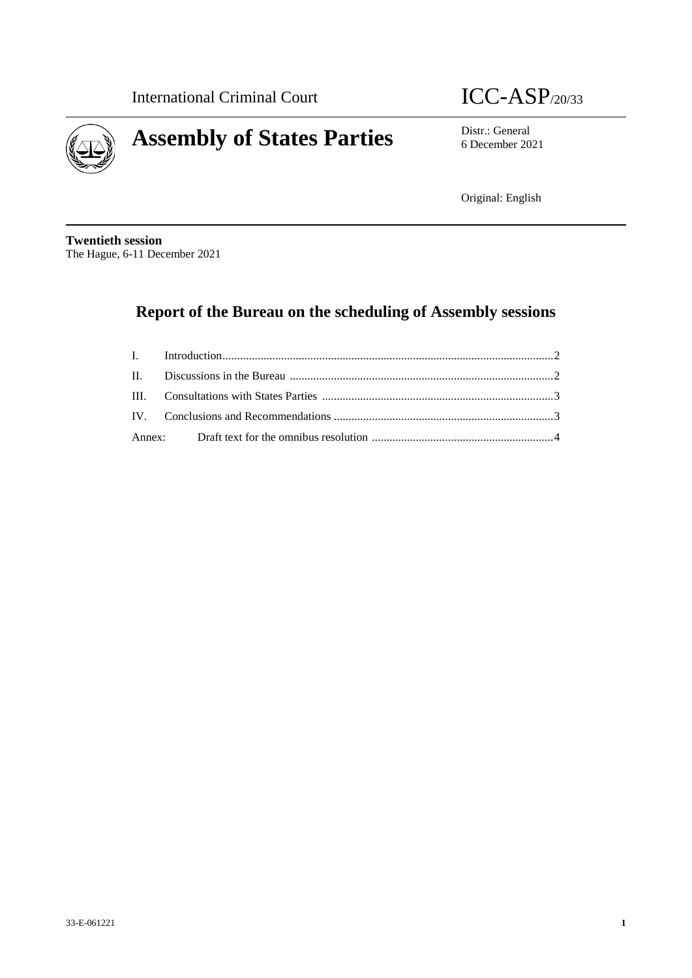



6 December 2021

Original: English

**Twentieth session** The Hague, 6-11 December 2021

# **Report of the Bureau on the scheduling of Assembly sessions**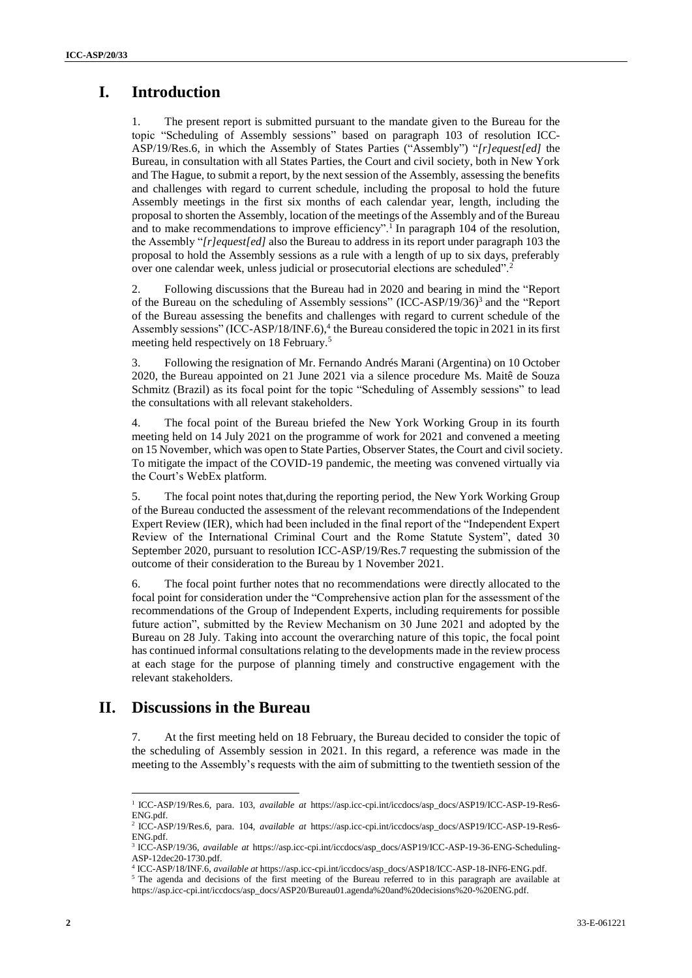## **I. Introduction**

1. The present report is submitted pursuant to the mandate given to the Bureau for the topic "Scheduling of Assembly sessions" based on paragraph 103 of resolution ICC-ASP/19/Res.6, in which the Assembly of States Parties ("Assembly") "*[r]equest[ed]* the Bureau, in consultation with all States Parties, the Court and civil society, both in New York and The Hague, to submit a report, by the next session of the Assembly, assessing the benefits and challenges with regard to current schedule, including the proposal to hold the future Assembly meetings in the first six months of each calendar year, length, including the proposal to shorten the Assembly, location of the meetings of the Assembly and of the Bureau and to make recommendations to improve efficiency".<sup>1</sup> In paragraph 104 of the resolution, the Assembly "*[r]equest[ed]* also the Bureau to address in its report under paragraph 103 the proposal to hold the Assembly sessions as a rule with a length of up to six days, preferably over one calendar week, unless judicial or prosecutorial elections are scheduled".<sup>2</sup>

2. Following discussions that the Bureau had in 2020 and bearing in mind the "Report of the Bureau on the scheduling of Assembly sessions" (ICC-ASP/19/36)<sup>3</sup> and the "Report of the Bureau assessing the benefits and challenges with regard to current schedule of the Assembly sessions" (ICC-ASP/18/INF.6), 4 the Bureau considered the topic in 2021 in its first meeting held respectively on 18 February. 5

3. Following the resignation of Mr. Fernando Andrés Marani (Argentina) on 10 October 2020, the Bureau appointed on 21 June 2021 via a silence procedure Ms. Maitê de Souza Schmitz (Brazil) as its focal point for the topic "Scheduling of Assembly sessions" to lead the consultations with all relevant stakeholders.

4. The focal point of the Bureau briefed the New York Working Group in its fourth meeting held on 14 July 2021 on the programme of work for 2021 and convened a meeting on 15 November, which was open to State Parties, Observer States, the Court and civil society. To mitigate the impact of the COVID-19 pandemic, the meeting was convened virtually via the Court's WebEx platform.

5. The focal point notes that,during the reporting period, the New York Working Group of the Bureau conducted the assessment of the relevant recommendations of the Independent Expert Review (IER), which had been included in the final report of the "Independent Expert Review of the International Criminal Court and the Rome Statute System", dated 30 September 2020, pursuant to resolution ICC-ASP/19/Res.7 requesting the submission of the outcome of their consideration to the Bureau by 1 November 2021.

6. The focal point further notes that no recommendations were directly allocated to the focal point for consideration under the "Comprehensive action plan for the assessment of the recommendations of the Group of Independent Experts, including requirements for possible future action", submitted by the Review Mechanism on 30 June 2021 and adopted by the Bureau on 28 July. Taking into account the overarching nature of this topic, the focal point has continued informal consultations relating to the developments made in the review process at each stage for the purpose of planning timely and constructive engagement with the relevant stakeholders.

## **II. Discussions in the Bureau**

7. At the first meeting held on 18 February, the Bureau decided to consider the topic of the scheduling of Assembly session in 2021. In this regard, a reference was made in the meeting to the Assembly's requests with the aim of submitting to the twentieth session of the

 $\overline{a}$ 1 ICC-ASP/19/Res.6, para. 103, *available at* https://asp.icc-cpi.int/iccdocs/asp\_docs/ASP19/ICC-ASP-19-Res6- ENG.pdf.

<sup>2</sup> ICC-ASP/19/Res.6, para. 104, *available at* https://asp.icc-cpi.int/iccdocs/asp\_docs/ASP19/ICC-ASP-19-Res6- ENG.pdf.

<sup>3</sup> ICC-ASP/19/36, *available at* https://asp.icc-cpi.int/iccdocs/asp\_docs/ASP19/ICC-ASP-19-36-ENG-Scheduling-ASP-12dec20-1730.pdf.

<sup>4</sup> ICC-ASP/18/INF.6, *available at* https://asp.icc-cpi.int/iccdocs/asp\_docs/ASP18/ICC-ASP-18-INF6-ENG.pdf.

<sup>5</sup> The agenda and decisions of the first meeting of the Bureau referred to in this paragraph are available at https://asp.icc-cpi.int/iccdocs/asp\_docs/ASP20/Bureau01.agenda%20and%20decisions%20-%20ENG.pdf.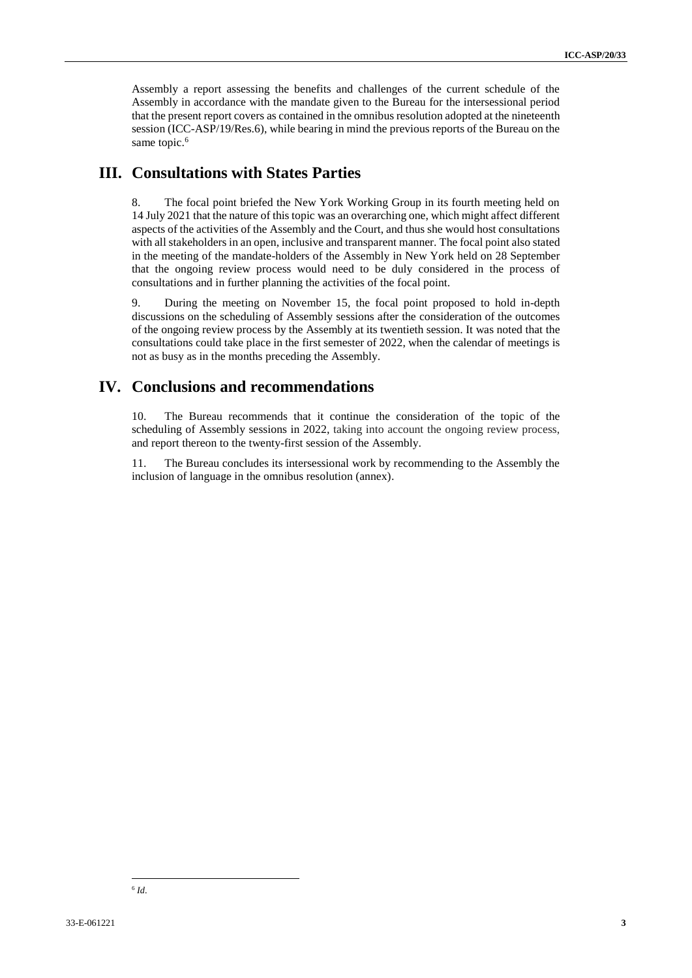Assembly a report assessing the benefits and challenges of the current schedule of the Assembly in accordance with the mandate given to the Bureau for the intersessional period that the present report covers as contained in the omnibus resolution adopted at the nineteenth session (ICC-ASP/19/Res.6), while bearing in mind the previous reports of the Bureau on the same topic.<sup>6</sup>

#### **III. Consultations with States Parties**

8. The focal point briefed the New York Working Group in its fourth meeting held on 14 July 2021 that the nature of this topic was an overarching one, which might affect different aspects of the activities of the Assembly and the Court, and thus she would host consultations with all stakeholders in an open, inclusive and transparent manner. The focal point also stated in the meeting of the mandate-holders of the Assembly in New York held on 28 September that the ongoing review process would need to be duly considered in the process of consultations and in further planning the activities of the focal point.

9. During the meeting on November 15, the focal point proposed to hold in-depth discussions on the scheduling of Assembly sessions after the consideration of the outcomes of the ongoing review process by the Assembly at its twentieth session. It was noted that the consultations could take place in the first semester of 2022, when the calendar of meetings is not as busy as in the months preceding the Assembly.

## **IV. Conclusions and recommendations**

10. The Bureau recommends that it continue the consideration of the topic of the scheduling of Assembly sessions in 2022, taking into account the ongoing review process, and report thereon to the twenty-first session of the Assembly.

11. The Bureau concludes its intersessional work by recommending to the Assembly the inclusion of language in the omnibus resolution (annex).